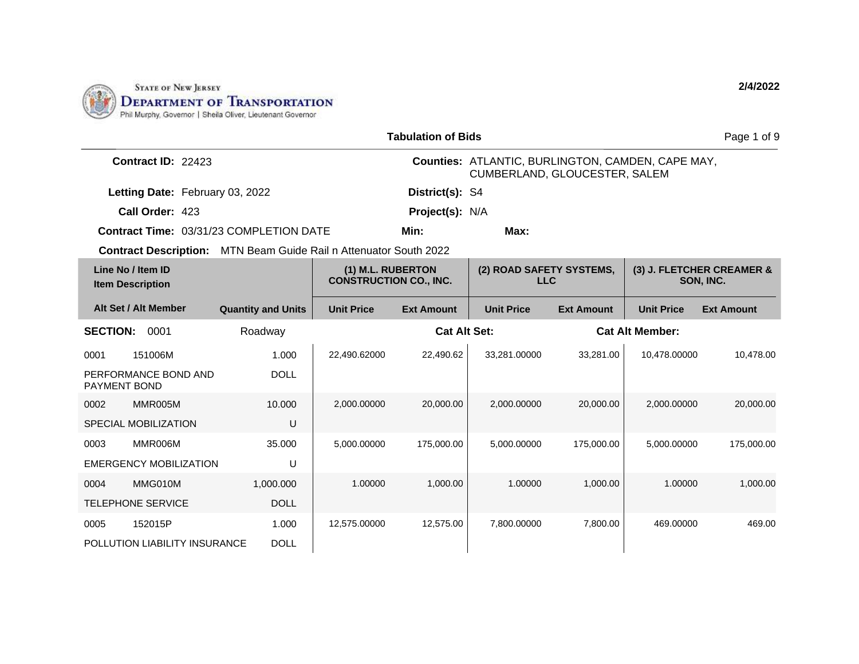

|                                                                   |                           |                   | <b>Tabulation of Bids</b>     |                                                                                           |                   |                        | Page 1 of 9                            |  |
|-------------------------------------------------------------------|---------------------------|-------------------|-------------------------------|-------------------------------------------------------------------------------------------|-------------------|------------------------|----------------------------------------|--|
| Contract ID: 22423                                                |                           |                   |                               | <b>Counties: ATLANTIC, BURLINGTON, CAMDEN, CAPE MAY,</b><br>CUMBERLAND, GLOUCESTER, SALEM |                   |                        |                                        |  |
| Letting Date: February 03, 2022                                   |                           |                   | District(s): S4               |                                                                                           |                   |                        |                                        |  |
| Call Order: 423                                                   |                           |                   | Project(s): N/A               |                                                                                           |                   |                        |                                        |  |
| <b>Contract Time: 03/31/23 COMPLETION DATE</b>                    |                           |                   | Min:                          | Max:                                                                                      |                   |                        |                                        |  |
| Contract Description: MTN Beam Guide Rail n Attenuator South 2022 |                           |                   |                               |                                                                                           |                   |                        |                                        |  |
| Line No / Item ID<br><b>Item Description</b>                      |                           | (1) M.L. RUBERTON | <b>CONSTRUCTION CO., INC.</b> | (2) ROAD SAFETY SYSTEMS,<br><b>LLC</b>                                                    |                   |                        | (3) J. FLETCHER CREAMER &<br>SON, INC. |  |
| Alt Set / Alt Member                                              | <b>Quantity and Units</b> | <b>Unit Price</b> | <b>Ext Amount</b>             | <b>Unit Price</b>                                                                         | <b>Ext Amount</b> | <b>Unit Price</b>      | <b>Ext Amount</b>                      |  |
| <b>SECTION:</b><br>0001                                           | Roadway                   |                   | <b>Cat Alt Set:</b>           |                                                                                           |                   | <b>Cat Alt Member:</b> |                                        |  |
| 151006M<br>0001                                                   | 1.000                     | 22,490.62000      | 22,490.62                     | 33,281.00000                                                                              | 33,281.00         | 10,478.00000           | 10,478.00                              |  |
| PERFORMANCE BOND AND<br>PAYMENT BOND                              | <b>DOLL</b>               |                   |                               |                                                                                           |                   |                        |                                        |  |
| 0002<br>MMR005M                                                   | 10.000                    | 2,000.00000       | 20,000.00                     | 2,000.00000                                                                               | 20,000.00         | 2.000.00000            | 20,000.00                              |  |
| SPECIAL MOBILIZATION                                              | U                         |                   |                               |                                                                                           |                   |                        |                                        |  |
| 0003<br>MMR006M                                                   | 35.000                    | 5,000.00000       | 175,000.00                    | 5,000.00000                                                                               | 175,000.00        | 5,000.00000            | 175,000.00                             |  |
| <b>EMERGENCY MOBILIZATION</b>                                     | U                         |                   |                               |                                                                                           |                   |                        |                                        |  |
| 0004<br>MMG010M                                                   | 1,000.000                 | 1.00000           | 1,000.00                      | 1.00000                                                                                   | 1,000.00          | 1.00000                | 1,000.00                               |  |
| <b>TELEPHONE SERVICE</b>                                          | <b>DOLL</b>               |                   |                               |                                                                                           |                   |                        |                                        |  |
| 152015P<br>0005                                                   | 1.000                     | 12,575.00000      | 12,575.00                     | 7,800.00000                                                                               | 7,800.00          | 469.00000              | 469.00                                 |  |
| POLLUTION LIABILITY INSURANCE                                     | <b>DOLL</b>               |                   |                               |                                                                                           |                   |                        |                                        |  |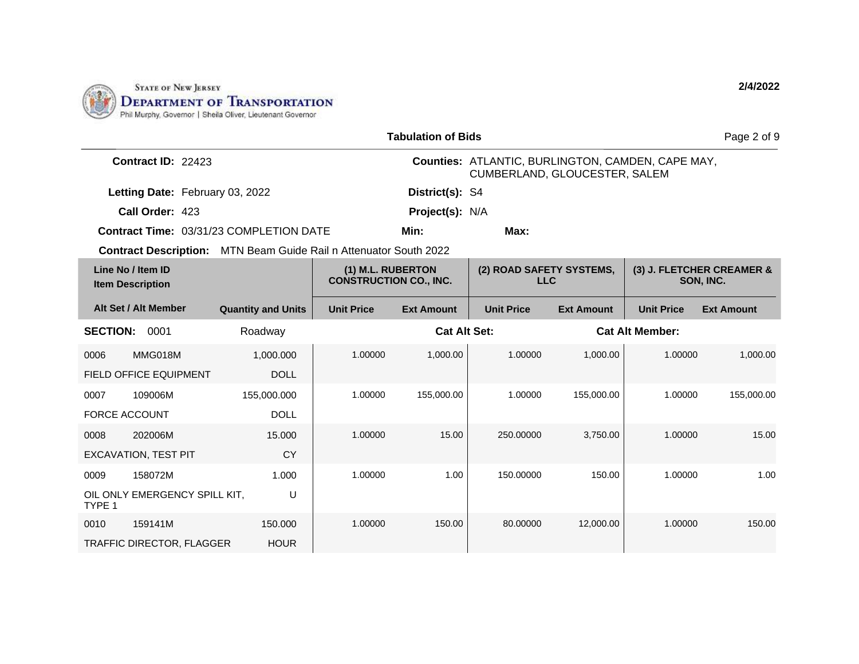

|                                                                          |                           |                                                    | <b>Tabulation of Bids</b> |                                                                                    |                   |                        | Page 2 of 9                            |  |
|--------------------------------------------------------------------------|---------------------------|----------------------------------------------------|---------------------------|------------------------------------------------------------------------------------|-------------------|------------------------|----------------------------------------|--|
| Contract ID: 22423                                                       |                           |                                                    |                           | Counties: ATLANTIC, BURLINGTON, CAMDEN, CAPE MAY,<br>CUMBERLAND, GLOUCESTER, SALEM |                   |                        |                                        |  |
| Letting Date: February 03, 2022                                          |                           |                                                    | District(s): S4           |                                                                                    |                   |                        |                                        |  |
| Call Order: 423                                                          |                           |                                                    | Project(s): N/A           |                                                                                    |                   |                        |                                        |  |
| <b>Contract Time: 03/31/23 COMPLETION DATE</b>                           |                           |                                                    | Min:                      | Max:                                                                               |                   |                        |                                        |  |
| <b>Contract Description:</b> MTN Beam Guide Rail n Attenuator South 2022 |                           |                                                    |                           |                                                                                    |                   |                        |                                        |  |
| Line No / Item ID<br><b>Item Description</b>                             |                           | (1) M.L. RUBERTON<br><b>CONSTRUCTION CO., INC.</b> |                           | (2) ROAD SAFETY SYSTEMS,<br><b>LLC</b>                                             |                   |                        | (3) J. FLETCHER CREAMER &<br>SON, INC. |  |
| Alt Set / Alt Member                                                     | <b>Quantity and Units</b> | <b>Unit Price</b>                                  | <b>Ext Amount</b>         | <b>Unit Price</b>                                                                  | <b>Ext Amount</b> | <b>Unit Price</b>      | <b>Ext Amount</b>                      |  |
| <b>SECTION:</b><br>0001                                                  | Roadway                   |                                                    | <b>Cat Alt Set:</b>       |                                                                                    |                   | <b>Cat Alt Member:</b> |                                        |  |
| MMG018M<br>0006                                                          | 1,000.000                 | 1.00000                                            | 1,000.00                  | 1.00000                                                                            | 1.000.00          | 1.00000                | 1,000.00                               |  |
| <b>FIELD OFFICE EQUIPMENT</b>                                            | <b>DOLL</b>               |                                                    |                           |                                                                                    |                   |                        |                                        |  |
| 109006M<br>0007                                                          | 155,000.000               | 1.00000                                            | 155,000.00                | 1.00000                                                                            | 155,000.00        | 1.00000                | 155,000.00                             |  |
| <b>FORCE ACCOUNT</b>                                                     | <b>DOLL</b>               |                                                    |                           |                                                                                    |                   |                        |                                        |  |
| 202006M<br>0008                                                          | 15.000                    | 1.00000                                            | 15.00                     | 250.00000                                                                          | 3,750.00          | 1.00000                | 15.00                                  |  |
| <b>EXCAVATION, TEST PIT</b>                                              | CY                        |                                                    |                           |                                                                                    |                   |                        |                                        |  |
| 158072M<br>0009                                                          | 1.000                     | 1.00000                                            | 1.00                      | 150.00000                                                                          | 150.00            | 1.00000                | 1.00                                   |  |
| OIL ONLY EMERGENCY SPILL KIT,<br>TYPE 1                                  | U                         |                                                    |                           |                                                                                    |                   |                        |                                        |  |
| 159141M<br>0010                                                          | 150.000                   | 1.00000                                            | 150.00                    | 80.00000                                                                           | 12,000.00         | 1.00000                | 150.00                                 |  |
| <b>TRAFFIC DIRECTOR, FLAGGER</b>                                         | <b>HOUR</b>               |                                                    |                           |                                                                                    |                   |                        |                                        |  |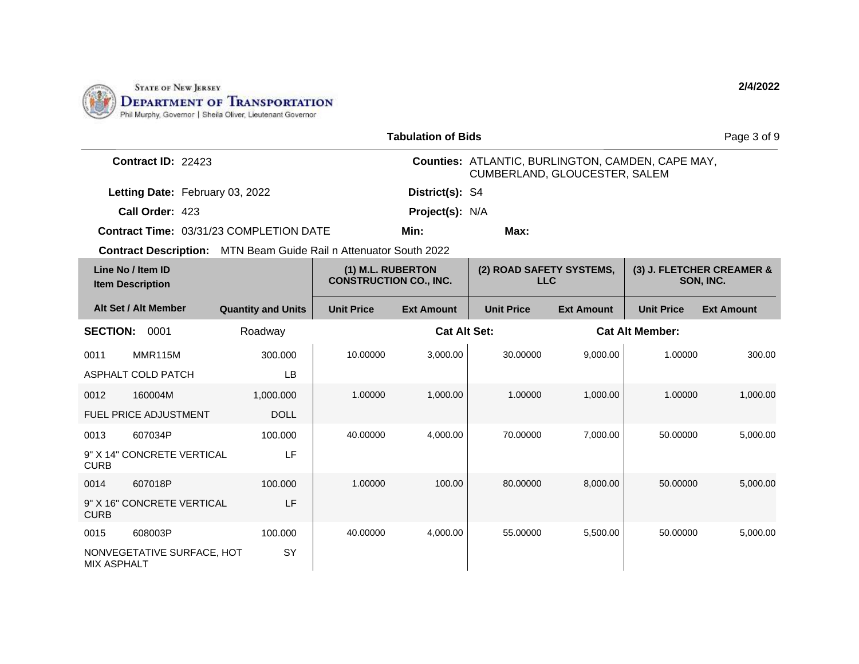

|                    | <b>Tabulation of Bids</b><br>Page 3 of 9     |                                                                          |                                                    |                   |                                                                                    |                        |                                        |                   |
|--------------------|----------------------------------------------|--------------------------------------------------------------------------|----------------------------------------------------|-------------------|------------------------------------------------------------------------------------|------------------------|----------------------------------------|-------------------|
|                    | Contract ID: 22423                           |                                                                          |                                                    |                   | Counties: ATLANTIC, BURLINGTON, CAMDEN, CAPE MAY,<br>CUMBERLAND, GLOUCESTER, SALEM |                        |                                        |                   |
|                    | Letting Date: February 03, 2022              |                                                                          |                                                    | District(s): S4   |                                                                                    |                        |                                        |                   |
|                    | Call Order: 423                              |                                                                          |                                                    | Project(s): N/A   |                                                                                    |                        |                                        |                   |
|                    |                                              | Contract Time: 03/31/23 COMPLETION DATE                                  |                                                    | Min:              | Max:                                                                               |                        |                                        |                   |
|                    |                                              | <b>Contract Description:</b> MTN Beam Guide Rail n Attenuator South 2022 |                                                    |                   |                                                                                    |                        |                                        |                   |
|                    | Line No / Item ID<br><b>Item Description</b> |                                                                          | (1) M.L. RUBERTON<br><b>CONSTRUCTION CO., INC.</b> |                   | (2) ROAD SAFETY SYSTEMS,<br><b>LLC</b>                                             |                        | (3) J. FLETCHER CREAMER &<br>SON, INC. |                   |
|                    | Alt Set / Alt Member                         | <b>Quantity and Units</b>                                                | <b>Unit Price</b>                                  | <b>Ext Amount</b> | <b>Unit Price</b>                                                                  | <b>Ext Amount</b>      | <b>Unit Price</b>                      | <b>Ext Amount</b> |
| <b>SECTION:</b>    | 0001                                         | Roadway                                                                  | <b>Cat Alt Set:</b>                                |                   |                                                                                    | <b>Cat Alt Member:</b> |                                        |                   |
| 0011               | MMR115M                                      | 300.000                                                                  | 10.00000                                           | 3,000.00          | 30.00000                                                                           | 9,000.00               | 1.00000                                | 300.00            |
|                    | ASPHALT COLD PATCH                           | <b>LB</b>                                                                |                                                    |                   |                                                                                    |                        |                                        |                   |
| 0012               | 160004M                                      | 1,000.000                                                                | 1.00000                                            | 1,000.00          | 1.00000                                                                            | 1,000.00               | 1.00000                                | 1,000.00          |
|                    | <b>FUEL PRICE ADJUSTMENT</b>                 | <b>DOLL</b>                                                              |                                                    |                   |                                                                                    |                        |                                        |                   |
| 0013               | 607034P                                      | 100.000                                                                  | 40.00000                                           | 4,000.00          | 70.00000                                                                           | 7,000.00               | 50.00000                               | 5,000.00          |
| <b>CURB</b>        | 9" X 14" CONCRETE VERTICAL                   | LF                                                                       |                                                    |                   |                                                                                    |                        |                                        |                   |
| 0014               | 607018P                                      | 100.000                                                                  | 1.00000                                            | 100.00            | 80.00000                                                                           | 8,000.00               | 50.00000                               | 5,000.00          |
| <b>CURB</b>        | 9" X 16" CONCRETE VERTICAL                   | LF                                                                       |                                                    |                   |                                                                                    |                        |                                        |                   |
| 0015               | 608003P                                      | 100.000                                                                  | 40.00000                                           | 4,000.00          | 55.00000                                                                           | 5.500.00               | 50.00000                               | 5,000.00          |
| <b>MIX ASPHALT</b> | NONVEGETATIVE SURFACE, HOT                   | SY                                                                       |                                                    |                   |                                                                                    |                        |                                        |                   |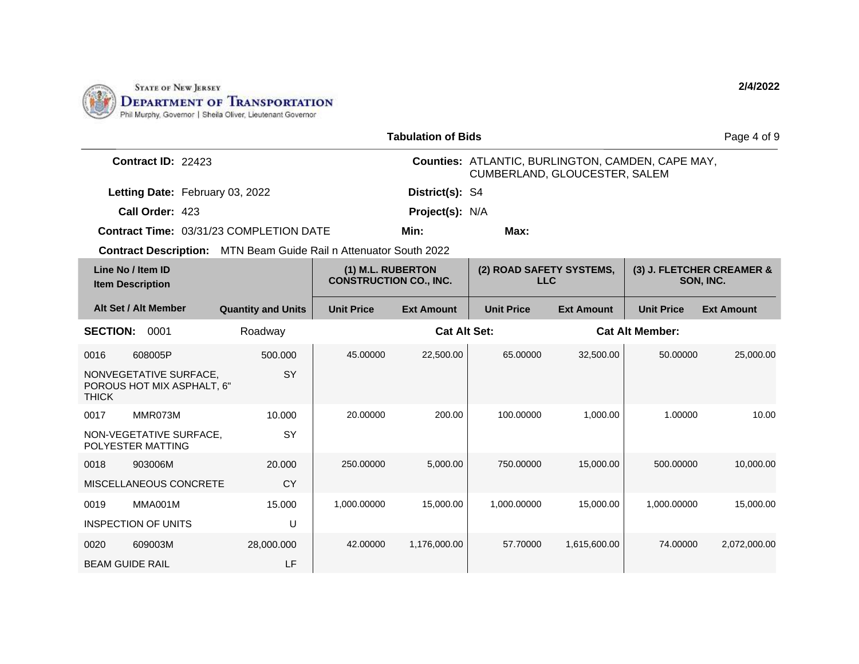

| <b>Tabulation of Bids</b>                                                |                                                                                              |                   |                     |                                                                                           |                   |                        | Page 4 of 9       |
|--------------------------------------------------------------------------|----------------------------------------------------------------------------------------------|-------------------|---------------------|-------------------------------------------------------------------------------------------|-------------------|------------------------|-------------------|
| Contract ID: 22423                                                       |                                                                                              |                   |                     | Counties: ATLANTIC, BURLINGTON, CAMDEN, CAPE MAY,<br><b>CUMBERLAND, GLOUCESTER, SALEM</b> |                   |                        |                   |
| Letting Date: February 03, 2022                                          |                                                                                              |                   | District(s): S4     |                                                                                           |                   |                        |                   |
| Call Order: 423                                                          |                                                                                              |                   | Project(s): N/A     |                                                                                           |                   |                        |                   |
| <b>Contract Time: 03/31/23 COMPLETION DATE</b>                           |                                                                                              |                   | Min:                | Max:                                                                                      |                   |                        |                   |
| <b>Contract Description:</b> MTN Beam Guide Rail n Attenuator South 2022 |                                                                                              |                   |                     |                                                                                           |                   |                        |                   |
| Line No / Item ID<br><b>Item Description</b>                             | (1) M.L. RUBERTON<br>(2) ROAD SAFETY SYSTEMS,<br><b>CONSTRUCTION CO., INC.</b><br><b>LLC</b> |                   |                     | (3) J. FLETCHER CREAMER &<br>SON, INC.                                                    |                   |                        |                   |
| Alt Set / Alt Member                                                     | <b>Quantity and Units</b>                                                                    | <b>Unit Price</b> | <b>Ext Amount</b>   | <b>Unit Price</b>                                                                         | <b>Ext Amount</b> | <b>Unit Price</b>      | <b>Ext Amount</b> |
| <b>SECTION:</b><br>0001                                                  | Roadway                                                                                      |                   | <b>Cat Alt Set:</b> |                                                                                           |                   | <b>Cat Alt Member:</b> |                   |
| 608005P<br>0016                                                          | 500.000                                                                                      | 45.00000          | 22,500.00           | 65.00000                                                                                  | 32,500.00         | 50.00000               | 25,000.00         |
| NONVEGETATIVE SURFACE,<br>POROUS HOT MIX ASPHALT, 6"<br><b>THICK</b>     | SY                                                                                           |                   |                     |                                                                                           |                   |                        |                   |
| MMR073M<br>0017                                                          | 10.000                                                                                       | 20.00000          | 200.00              | 100.00000                                                                                 | 1,000.00          | 1.00000                | 10.00             |
| NON-VEGETATIVE SURFACE,<br>POLYESTER MATTING                             | <b>SY</b>                                                                                    |                   |                     |                                                                                           |                   |                        |                   |
| 903006M<br>0018                                                          | 20,000                                                                                       | 250.00000         | 5,000.00            | 750.00000                                                                                 | 15,000.00         | 500.00000              | 10,000.00         |
| MISCELLANEOUS CONCRETE                                                   | CY                                                                                           |                   |                     |                                                                                           |                   |                        |                   |
| <b>MMA001M</b><br>0019                                                   | 15.000                                                                                       | 1,000.00000       | 15,000.00           | 1,000.00000                                                                               | 15,000.00         | 1,000.00000            | 15,000.00         |
| <b>INSPECTION OF UNITS</b>                                               | U                                                                                            |                   |                     |                                                                                           |                   |                        |                   |
| 0020<br>609003M                                                          | 28,000.000                                                                                   | 42.00000          | 1,176,000.00        | 57.70000                                                                                  | 1,615,600.00      | 74.00000               | 2,072,000.00      |
| <b>BEAM GUIDE RAIL</b>                                                   | LF                                                                                           |                   |                     |                                                                                           |                   |                        |                   |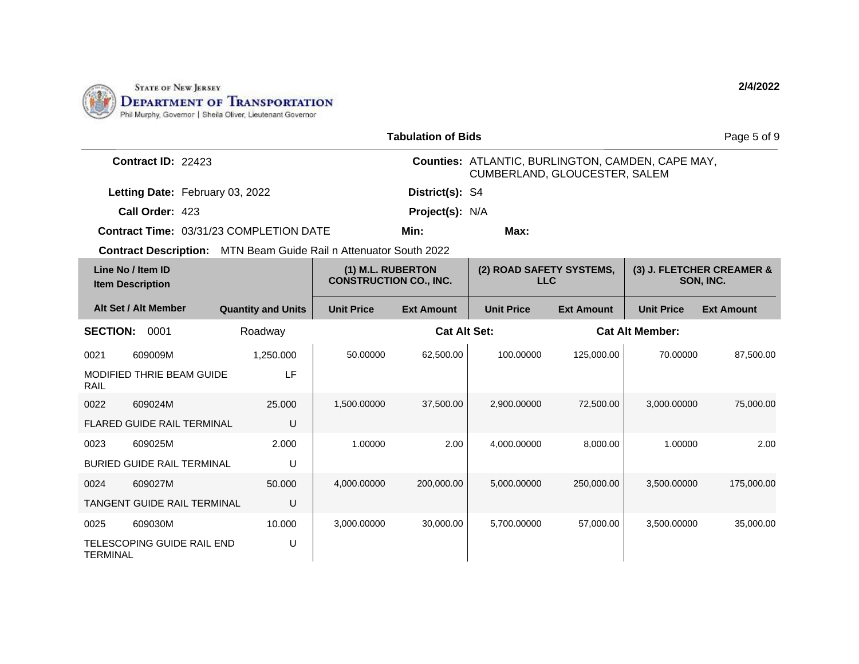

| <b>Tabulation of Bids</b> |                                              |                                                                                              |                   |                   |                                                                                           |                                        | Page 5 of 9            |                   |  |
|---------------------------|----------------------------------------------|----------------------------------------------------------------------------------------------|-------------------|-------------------|-------------------------------------------------------------------------------------------|----------------------------------------|------------------------|-------------------|--|
| Contract ID: 22423        |                                              |                                                                                              |                   |                   | <b>Counties: ATLANTIC, BURLINGTON, CAMDEN, CAPE MAY,</b><br>CUMBERLAND, GLOUCESTER, SALEM |                                        |                        |                   |  |
|                           | Letting Date: February 03, 2022              |                                                                                              |                   | District(s): S4   |                                                                                           |                                        |                        |                   |  |
|                           | Call Order: 423                              |                                                                                              |                   | Project(s): N/A   |                                                                                           |                                        |                        |                   |  |
|                           |                                              | <b>Contract Time: 03/31/23 COMPLETION DATE</b>                                               |                   | Min:              | Max:                                                                                      |                                        |                        |                   |  |
|                           |                                              | Contract Description: MTN Beam Guide Rail n Attenuator South 2022                            |                   |                   |                                                                                           |                                        |                        |                   |  |
|                           | Line No / Item ID<br><b>Item Description</b> | (1) M.L. RUBERTON<br>(2) ROAD SAFETY SYSTEMS,<br><b>CONSTRUCTION CO., INC.</b><br><b>LLC</b> |                   |                   |                                                                                           | (3) J. FLETCHER CREAMER &<br>SON, INC. |                        |                   |  |
|                           | Alt Set / Alt Member                         | <b>Quantity and Units</b>                                                                    | <b>Unit Price</b> | <b>Ext Amount</b> | <b>Unit Price</b>                                                                         | <b>Ext Amount</b>                      | <b>Unit Price</b>      | <b>Ext Amount</b> |  |
| <b>SECTION:</b>           | 0001                                         | Roadway                                                                                      |                   |                   | <b>Cat Alt Set:</b>                                                                       |                                        | <b>Cat Alt Member:</b> |                   |  |
| 0021                      | 609009M                                      | 1,250.000                                                                                    | 50.00000          | 62,500.00         | 100.00000                                                                                 | 125,000.00                             | 70.00000               | 87,500.00         |  |
| <b>RAIL</b>               | <b>MODIFIED THRIE BEAM GUIDE</b>             | LF                                                                                           |                   |                   |                                                                                           |                                        |                        |                   |  |
| 0022                      | 609024M                                      | 25,000                                                                                       | 1,500.00000       | 37,500.00         | 2,900.00000                                                                               | 72,500.00                              | 3,000.00000            | 75,000.00         |  |
|                           | <b>FLARED GUIDE RAIL TERMINAL</b>            | U                                                                                            |                   |                   |                                                                                           |                                        |                        |                   |  |
| 0023                      | 609025M                                      | 2.000                                                                                        | 1.00000           | 2.00              | 4,000.00000                                                                               | 8.000.00                               | 1.00000                | 2.00              |  |
|                           | <b>BURIED GUIDE RAIL TERMINAL</b>            | U                                                                                            |                   |                   |                                                                                           |                                        |                        |                   |  |
| 0024                      | 609027M                                      | 50,000                                                                                       | 4,000.00000       | 200,000.00        | 5,000.00000                                                                               | 250,000.00                             | 3,500.00000            | 175,000.00        |  |
|                           | TANGENT GUIDE RAIL TERMINAL                  | U                                                                                            |                   |                   |                                                                                           |                                        |                        |                   |  |
| 0025                      | 609030M                                      | 10.000                                                                                       | 3,000.00000       | 30,000.00         | 5.700.00000                                                                               | 57,000.00                              | 3,500.00000            | 35,000.00         |  |
| <b>TERMINAL</b>           | TELESCOPING GUIDE RAIL END                   | U                                                                                            |                   |                   |                                                                                           |                                        |                        |                   |  |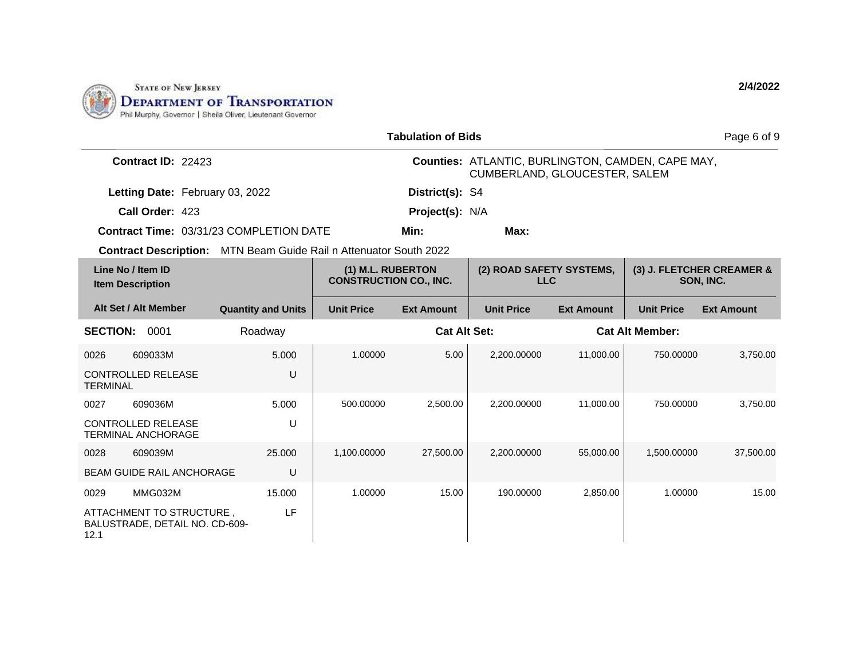

| <b>Tabulation of Bids</b>                                          |                                                                          |                                                    |                     |                                        |                                                                                           |                        |                                        |  |
|--------------------------------------------------------------------|--------------------------------------------------------------------------|----------------------------------------------------|---------------------|----------------------------------------|-------------------------------------------------------------------------------------------|------------------------|----------------------------------------|--|
|                                                                    | Contract ID: 22423                                                       |                                                    |                     |                                        | <b>Counties: ATLANTIC, BURLINGTON, CAMDEN, CAPE MAY,</b><br>CUMBERLAND, GLOUCESTER, SALEM |                        |                                        |  |
| Letting Date: February 03, 2022                                    |                                                                          |                                                    | District(s): S4     |                                        |                                                                                           |                        |                                        |  |
| Call Order: 423                                                    |                                                                          |                                                    | Project(s): N/A     |                                        |                                                                                           |                        |                                        |  |
|                                                                    | <b>Contract Time: 03/31/23 COMPLETION DATE</b>                           |                                                    | Min:                | Max:                                   |                                                                                           |                        |                                        |  |
|                                                                    | <b>Contract Description:</b> MTN Beam Guide Rail n Attenuator South 2022 |                                                    |                     |                                        |                                                                                           |                        |                                        |  |
| Line No / Item ID<br><b>Item Description</b>                       |                                                                          | (1) M.L. RUBERTON<br><b>CONSTRUCTION CO., INC.</b> |                     | (2) ROAD SAFETY SYSTEMS,<br><b>LLC</b> |                                                                                           |                        | (3) J. FLETCHER CREAMER &<br>SON, INC. |  |
| Alt Set / Alt Member                                               | <b>Quantity and Units</b>                                                | <b>Unit Price</b>                                  | <b>Ext Amount</b>   | <b>Unit Price</b>                      | <b>Ext Amount</b>                                                                         | <b>Unit Price</b>      | <b>Ext Amount</b>                      |  |
| <b>SECTION:</b><br>0001                                            | Roadway                                                                  |                                                    | <b>Cat Alt Set:</b> |                                        |                                                                                           | <b>Cat Alt Member:</b> |                                        |  |
| 0026<br>609033M                                                    | 5.000                                                                    | 1.00000                                            | 5.00                | 2,200.00000                            | 11,000.00                                                                                 | 750.00000              | 3,750.00                               |  |
| <b>CONTROLLED RELEASE</b><br><b>TERMINAL</b>                       | U                                                                        |                                                    |                     |                                        |                                                                                           |                        |                                        |  |
| 0027<br>609036M                                                    | 5.000                                                                    | 500.00000                                          | 2,500.00            | 2.200.00000                            | 11.000.00                                                                                 | 750.00000              | 3.750.00                               |  |
| <b>CONTROLLED RELEASE</b><br><b>TERMINAL ANCHORAGE</b>             | U                                                                        |                                                    |                     |                                        |                                                                                           |                        |                                        |  |
| 609039M<br>0028                                                    | 25.000                                                                   | 1,100.00000                                        | 27,500.00           | 2.200.00000                            | 55.000.00                                                                                 | 1,500.00000            | 37,500.00                              |  |
| <b>BEAM GUIDE RAIL ANCHORAGE</b>                                   | U                                                                        |                                                    |                     |                                        |                                                                                           |                        |                                        |  |
| MMG032M<br>0029                                                    | 15.000                                                                   | 1.00000                                            | 15.00               | 190.00000                              | 2,850.00                                                                                  | 1.00000                | 15.00                                  |  |
| ATTACHMENT TO STRUCTURE,<br>BALUSTRADE, DETAIL NO. CD-609-<br>12.1 | LF                                                                       |                                                    |                     |                                        |                                                                                           |                        |                                        |  |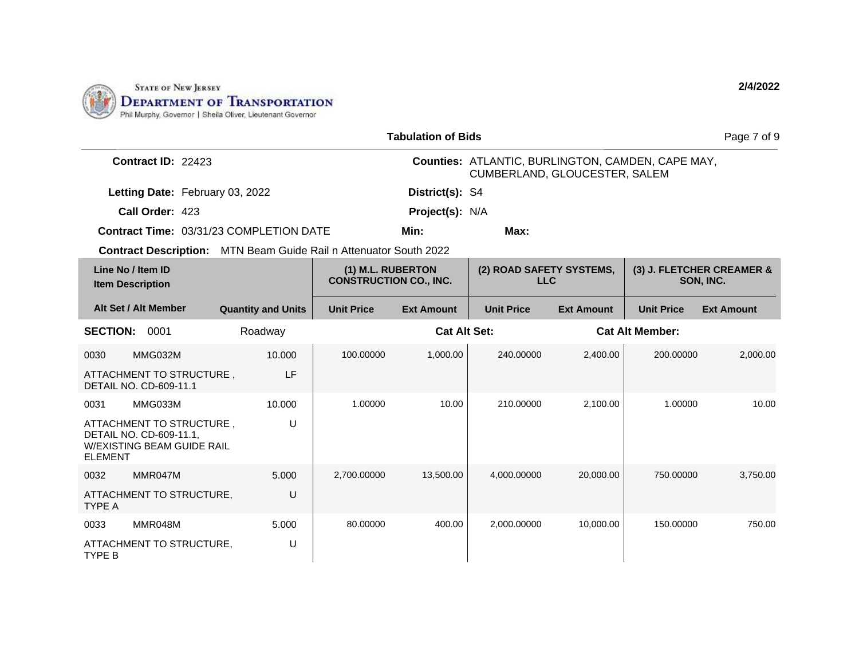

|                                                                                                     | <b>Tabulation of Bids</b><br>Page 7 of 9 |                                                    |                   |                                                                                    |                   |                        |                                        |  |
|-----------------------------------------------------------------------------------------------------|------------------------------------------|----------------------------------------------------|-------------------|------------------------------------------------------------------------------------|-------------------|------------------------|----------------------------------------|--|
| Contract ID: 22423                                                                                  |                                          |                                                    |                   | Counties: ATLANTIC, BURLINGTON, CAMDEN, CAPE MAY,<br>CUMBERLAND, GLOUCESTER, SALEM |                   |                        |                                        |  |
| Letting Date: February 03, 2022                                                                     |                                          |                                                    | District(s): S4   |                                                                                    |                   |                        |                                        |  |
| Call Order: 423                                                                                     |                                          |                                                    | Project(s): N/A   |                                                                                    |                   |                        |                                        |  |
| <b>Contract Time: 03/31/23 COMPLETION DATE</b>                                                      |                                          |                                                    | Min:              | Max:                                                                               |                   |                        |                                        |  |
| <b>Contract Description:</b> MTN Beam Guide Rail n Attenuator South 2022                            |                                          |                                                    |                   |                                                                                    |                   |                        |                                        |  |
| Line No / Item ID<br><b>Item Description</b>                                                        |                                          | (1) M.L. RUBERTON<br><b>CONSTRUCTION CO., INC.</b> |                   | (2) ROAD SAFETY SYSTEMS,<br><b>LLC</b>                                             |                   |                        | (3) J. FLETCHER CREAMER &<br>SON, INC. |  |
| Alt Set / Alt Member                                                                                | <b>Quantity and Units</b>                | <b>Unit Price</b>                                  | <b>Ext Amount</b> | <b>Unit Price</b>                                                                  | <b>Ext Amount</b> | <b>Unit Price</b>      | <b>Ext Amount</b>                      |  |
| <b>SECTION:</b><br>0001                                                                             | Roadway                                  | <b>Cat Alt Set:</b>                                |                   |                                                                                    |                   | <b>Cat Alt Member:</b> |                                        |  |
| MMG032M<br>0030                                                                                     | 10.000                                   | 100.00000                                          | 1,000.00          | 240.00000                                                                          | 2,400.00          | 200.00000              | 2,000.00                               |  |
| ATTACHMENT TO STRUCTURE,<br><b>DETAIL NO. CD-609-11.1</b>                                           | LF                                       |                                                    |                   |                                                                                    |                   |                        |                                        |  |
| MMG033M<br>0031                                                                                     | 10.000                                   | 1.00000                                            | 10.00             | 210.00000                                                                          | 2,100.00          | 1.00000                | 10.00                                  |  |
| ATTACHMENT TO STRUCTURE,<br>DETAIL NO. CD-609-11.1,<br>W/EXISTING BEAM GUIDE RAIL<br><b>ELEMENT</b> | U                                        |                                                    |                   |                                                                                    |                   |                        |                                        |  |
| MMR047M<br>0032                                                                                     | 5.000                                    | 2,700.00000                                        | 13,500.00         | 4,000.00000                                                                        | 20,000.00         | 750,00000              | 3,750.00                               |  |
| ATTACHMENT TO STRUCTURE,<br><b>TYPE A</b>                                                           | U                                        |                                                    |                   |                                                                                    |                   |                        |                                        |  |
| MMR048M<br>0033                                                                                     | 5.000                                    | 80.00000                                           | 400.00            | 2,000.00000                                                                        | 10,000.00         | 150.00000              | 750.00                                 |  |
| ATTACHMENT TO STRUCTURE,<br>TYPE B                                                                  | U                                        |                                                    |                   |                                                                                    |                   |                        |                                        |  |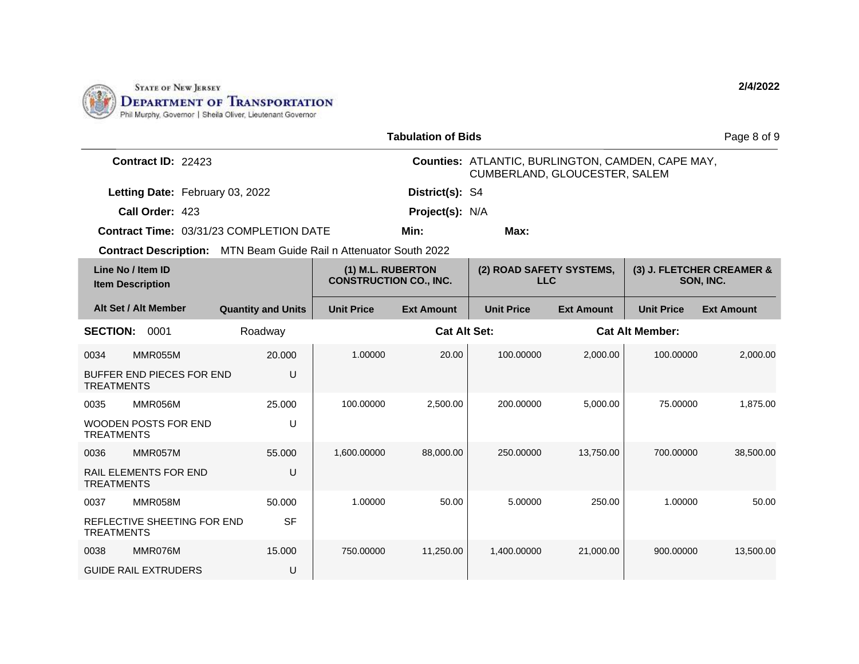

| <b>Tabulation of Bids</b>                                                |                           |                                                    |                     |                                                                                           |                   |                        |                                        |  |
|--------------------------------------------------------------------------|---------------------------|----------------------------------------------------|---------------------|-------------------------------------------------------------------------------------------|-------------------|------------------------|----------------------------------------|--|
| Contract ID: 22423                                                       |                           |                                                    |                     | Counties: ATLANTIC, BURLINGTON, CAMDEN, CAPE MAY,<br><b>CUMBERLAND, GLOUCESTER, SALEM</b> |                   |                        |                                        |  |
| Letting Date: February 03, 2022                                          |                           |                                                    | District(s): S4     |                                                                                           |                   |                        |                                        |  |
| Call Order: 423                                                          |                           |                                                    | Project(s): N/A     |                                                                                           |                   |                        |                                        |  |
| <b>Contract Time: 03/31/23 COMPLETION DATE</b>                           |                           |                                                    | Min:                | Max:                                                                                      |                   |                        |                                        |  |
| <b>Contract Description:</b> MTN Beam Guide Rail n Attenuator South 2022 |                           |                                                    |                     |                                                                                           |                   |                        |                                        |  |
| Line No / Item ID<br><b>Item Description</b>                             |                           | (1) M.L. RUBERTON<br><b>CONSTRUCTION CO., INC.</b> |                     | (2) ROAD SAFETY SYSTEMS,<br><b>LLC</b>                                                    |                   |                        | (3) J. FLETCHER CREAMER &<br>SON, INC. |  |
| Alt Set / Alt Member                                                     | <b>Quantity and Units</b> | <b>Unit Price</b>                                  | <b>Ext Amount</b>   | <b>Unit Price</b>                                                                         | <b>Ext Amount</b> | <b>Unit Price</b>      | <b>Ext Amount</b>                      |  |
| <b>SECTION:</b><br>0001                                                  | Roadway                   |                                                    | <b>Cat Alt Set:</b> |                                                                                           |                   | <b>Cat Alt Member:</b> |                                        |  |
| MMR055M<br>0034                                                          | 20.000                    | 1.00000                                            | 20.00               | 100.00000                                                                                 | 2,000.00          | 100.00000              | 2,000.00                               |  |
| BUFFER END PIECES FOR END<br><b>TREATMENTS</b>                           | U                         |                                                    |                     |                                                                                           |                   |                        |                                        |  |
| MMR056M<br>0035                                                          | 25.000                    | 100.00000                                          | 2.500.00            | 200.00000                                                                                 | 5.000.00          | 75.00000               | 1.875.00                               |  |
| <b>WOODEN POSTS FOR END</b><br><b>TREATMENTS</b>                         | U                         |                                                    |                     |                                                                                           |                   |                        |                                        |  |
| MMR057M<br>0036                                                          | 55.000                    | 1,600.00000                                        | 88,000.00           | 250.00000                                                                                 | 13,750.00         | 700.00000              | 38,500.00                              |  |
| <b>RAIL ELEMENTS FOR END</b><br><b>TREATMENTS</b>                        | U                         |                                                    |                     |                                                                                           |                   |                        |                                        |  |
| MMR058M<br>0037                                                          | 50.000                    | 1.00000                                            | 50.00               | 5.00000                                                                                   | 250.00            | 1.00000                | 50.00                                  |  |
| REFLECTIVE SHEETING FOR END<br><b>TREATMENTS</b>                         | <b>SF</b>                 |                                                    |                     |                                                                                           |                   |                        |                                        |  |
| MMR076M<br>0038                                                          | 15.000                    | 750.00000                                          | 11,250.00           | 1,400.00000                                                                               | 21,000.00         | 900.00000              | 13,500.00                              |  |
| <b>GUIDE RAIL EXTRUDERS</b>                                              | U                         |                                                    |                     |                                                                                           |                   |                        |                                        |  |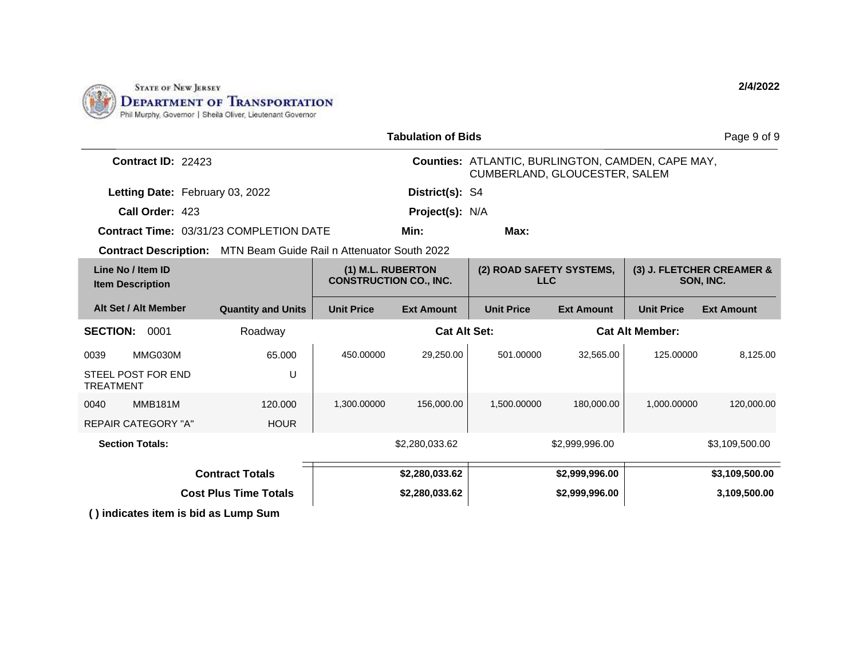

|                                                | <b>Tabulation of Bids</b><br>Page 9 of 9                          |                                                    |                   |                                                                                           |                   |                                        |                   |  |
|------------------------------------------------|-------------------------------------------------------------------|----------------------------------------------------|-------------------|-------------------------------------------------------------------------------------------|-------------------|----------------------------------------|-------------------|--|
| Contract ID: 22423                             |                                                                   |                                                    |                   | <b>Counties: ATLANTIC, BURLINGTON, CAMDEN, CAPE MAY,</b><br>CUMBERLAND, GLOUCESTER, SALEM |                   |                                        |                   |  |
| Letting Date: February 03, 2022                |                                                                   |                                                    | District(s): S4   |                                                                                           |                   |                                        |                   |  |
| Call Order: 423                                |                                                                   |                                                    | Project(s): N/A   |                                                                                           |                   |                                        |                   |  |
| <b>Contract Time: 03/31/23 COMPLETION DATE</b> |                                                                   | Min:<br>Max:                                       |                   |                                                                                           |                   |                                        |                   |  |
|                                                | Contract Description: MTN Beam Guide Rail n Attenuator South 2022 |                                                    |                   |                                                                                           |                   |                                        |                   |  |
| Line No / Item ID<br><b>Item Description</b>   |                                                                   | (1) M.L. RUBERTON<br><b>CONSTRUCTION CO., INC.</b> |                   | (2) ROAD SAFETY SYSTEMS,<br><b>LLC</b>                                                    |                   | (3) J. FLETCHER CREAMER &<br>SON, INC. |                   |  |
| Alt Set / Alt Member                           | <b>Quantity and Units</b>                                         | <b>Unit Price</b>                                  | <b>Ext Amount</b> | <b>Unit Price</b>                                                                         | <b>Ext Amount</b> | <b>Unit Price</b>                      | <b>Ext Amount</b> |  |
| <b>SECTION:</b><br>0001                        | Roadway                                                           | <b>Cat Alt Set:</b>                                |                   |                                                                                           |                   | <b>Cat Alt Member:</b>                 |                   |  |
| MMG030M<br>0039                                | 65.000                                                            | 450.00000                                          | 29,250.00         | 501.00000                                                                                 | 32,565.00         | 125.00000                              | 8,125.00          |  |
| STEEL POST FOR END<br><b>TREATMENT</b>         | U                                                                 |                                                    |                   |                                                                                           |                   |                                        |                   |  |
| <b>MMB181M</b><br>0040                         | 120.000                                                           | 1,300.00000                                        | 156,000.00        | 1,500.00000                                                                               | 180,000.00        | 1,000.00000                            | 120,000.00        |  |
| <b>REPAIR CATEGORY "A"</b>                     | <b>HOUR</b>                                                       |                                                    |                   |                                                                                           |                   |                                        |                   |  |
| <b>Section Totals:</b>                         |                                                                   |                                                    | \$2,280,033.62    |                                                                                           | \$2,999,996.00    |                                        | \$3,109,500.00    |  |
|                                                | <b>Contract Totals</b>                                            |                                                    | \$2,280,033.62    |                                                                                           | \$2,999,996.00    |                                        | \$3,109,500.00    |  |
|                                                | <b>Cost Plus Time Totals</b>                                      |                                                    | \$2,280,033.62    |                                                                                           | \$2,999,996.00    |                                        | 3,109,500.00      |  |
| () indicates item is bid as Lump Sum           |                                                                   |                                                    |                   |                                                                                           |                   |                                        |                   |  |